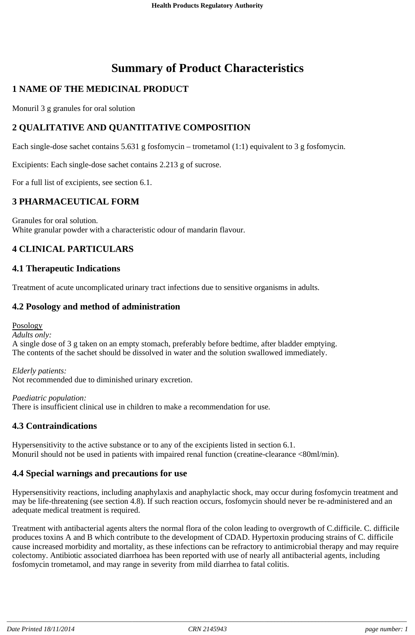# **Summary of Product Characteristics**

# **1 NAME OF THE MEDICINAL PRODUCT**

Monuril 3 g granules for oral solution

# **2 QUALITATIVE AND QUANTITATIVE COMPOSITION**

Each single-dose sachet contains 5.631 g fosfomycin – trometamol (1:1) equivalent to 3 g fosfomycin.

Excipients: Each single-dose sachet contains 2.213 g of sucrose.

For a full list of excipients, see section 6.1.

### **3 PHARMACEUTICAL FORM**

Granules for oral solution. White granular powder with a characteristic odour of mandarin flavour.

# **4 CLINICAL PARTICULARS**

# **4.1 Therapeutic Indications**

Treatment of acute uncomplicated urinary tract infections due to sensitive organisms in adults.

# **4.2 Posology and method of administration**

Posology

*Adults only:*

A single dose of 3 g taken on an empty stomach, preferably before bedtime, after bladder emptying. The contents of the sachet should be dissolved in water and the solution swallowed immediately.

*Elderly patients:*

Not recommended due to diminished urinary excretion.

*Paediatric population:* There is insufficient clinical use in children to make a recommendation for use.

### **4.3 Contraindications**

Hypersensitivity to the active substance or to any of the excipients listed in section 6.1. Monuril should not be used in patients with impaired renal function (creatine-clearance <80ml/min).

### **4.4 Special warnings and precautions for use**

Hypersensitivity reactions, including anaphylaxis and anaphylactic shock, may occur during fosfomycin treatment and may be life-threatening (see section 4.8). If such reaction occurs, fosfomycin should never be re-administered and an adequate medical treatment is required.

Treatment with antibacterial agents alters the normal flora of the colon leading to overgrowth of C.difficile. C. difficile produces toxins A and B which contribute to the development of CDAD. Hypertoxin producing strains of C. difficile cause increased morbidity and mortality, as these infections can be refractory to antimicrobial therapy and may require colectomy. Antibiotic associated diarrhoea has been reported with use of nearly all antibacterial agents, including fosfomycin trometamol, and may range in severity from mild diarrhea to fatal colitis.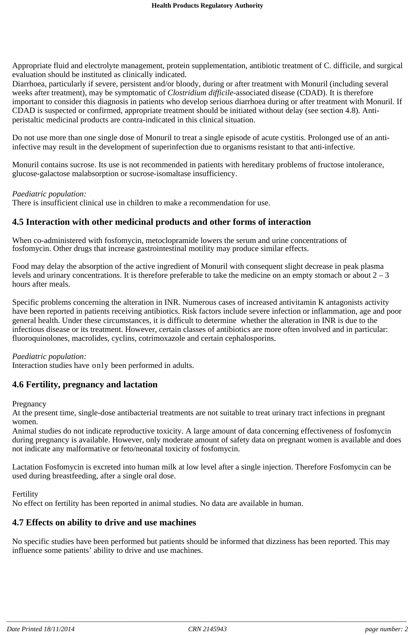Appropriate fluid and electrolyte management, protein supplementation, antibiotic treatment of C. difficile, and surgical evaluation should be instituted as clinically indicated.

Diarrhoea, particularly if severe, persistent and/or bloody, during or after treatment with Monuril (including several weeks after treatment), may be symptomatic of *Clostridium difficile*-associated disease (CDAD). It is therefore important to consider this diagnosis in patients who develop serious diarrhoea during or after treatment with Monuril. If CDAD is suspected or confirmed, appropriate treatment should be initiated without delay (see section 4.8). Antiperistaltic medicinal products are contra-indicated in this clinical situation.

Do not use more than one single dose of Monuril to treat a single episode of acute cystitis. Prolonged use of an antiinfective may result in the development of superinfection due to organisms resistant to that anti-infective.

Monuril contains sucrose. Its use is not recommended in patients with hereditary problems of fructose intolerance, glucose-galactose malabsorption or sucrose-isomaltase insufficiency.

#### *Paediatric population:*

There is insufficient clinical use in children to make a recommendation for use.

#### **4.5 Interaction with other medicinal products and other forms of interaction**

When co-administered with fosfomycin, metoclopramide lowers the serum and urine concentrations of fosfomycin. Other drugs that increase gastrointestinal motility may produce similar effects.

Food may delay the absorption of the active ingredient of Monuril with consequent slight decrease in peak plasma levels and urinary concentrations. It is therefore preferable to take the medicine on an empty stomach or about  $2 - 3$ hours after meals.

Specific problems concerning the alteration in INR. Numerous cases of increased antivitamin K antagonists activity have been reported in patients receiving antibiotics. Risk factors include severe infection or inflammation, age and poor general health. Under these circumstances, it is difficult to determine whether the alteration in INR is due to the infectious disease or its treatment. However, certain classes of antibiotics are more often involved and in particular: fluoroquinolones, macrolides, cyclins, cotrimoxazole and certain cephalosporins.

#### *Paediatric population:*

Interaction studies have only been performed in adults.

#### **4.6 Fertility, pregnancy and lactation**

Pregnancy

At the present time, single-dose antibacterial treatments are not suitable to treat urinary tract infections in pregnant women.

Animal studies do not indicate reproductive toxicity. A large amount of data concerning effectiveness of fosfomycin during pregnancy is available. However, only moderate amount of safety data on pregnant women is available and does not indicate any malformative or feto/neonatal toxicity of fosfomycin.

Lactation Fosfomycin is excreted into human milk at low level after a single injection. Therefore Fosfomycin can be used during breastfeeding, after a single oral dose.

Fertility

No effect on fertility has been reported in animal studies. No data are available in human.

#### **4.7 Effects on ability to drive and use machines**

No specific studies have been performed but patients should be informed that dizziness has been reported. This may influence some patients' ability to drive and use machines.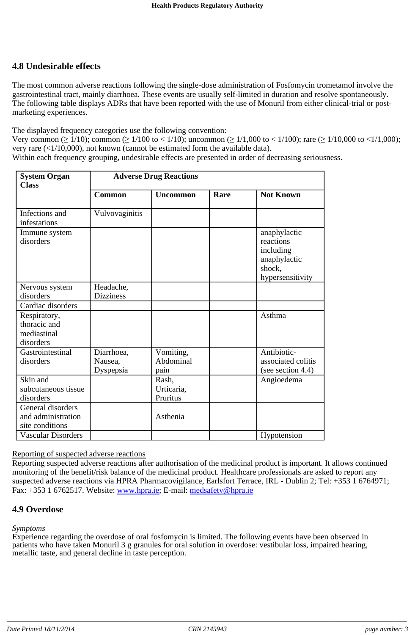## **4.8 Undesirable effects**

The most common adverse reactions following the single-dose administration of Fosfomycin trometamol involve the gastrointestinal tract, mainly diarrhoea. These events are usually self-limited in duration and resolve spontaneously. The following table displays ADRs that have been reported with the use of Monuril from either clinical-trial or postmarketing experiences.

The displayed frequency categories use the following convention:

Very common ( $\geq 1/10$ ); common ( $\geq 1/100$  to < 1/10); uncommon ( $\geq 1/1,000$  to < 1/100); rare ( $\geq 1/10,000$  to <1/1,000); very rare  $(\langle 1/10,000 \rangle)$ , not known (cannot be estimated form the available data).

Within each frequency grouping, undesirable effects are presented in order of decreasing seriousness.

| <b>System Organ</b><br><b>Class</b>                        | <b>Adverse Drug Reactions</b>      |                                 |      |                                                                                      |
|------------------------------------------------------------|------------------------------------|---------------------------------|------|--------------------------------------------------------------------------------------|
|                                                            | <b>Common</b>                      | <b>Uncommon</b>                 | Rare | <b>Not Known</b>                                                                     |
| Infections and<br>infestations                             | Vulvovaginitis                     |                                 |      |                                                                                      |
| Immune system<br>disorders                                 |                                    |                                 |      | anaphylactic<br>reactions<br>including<br>anaphylactic<br>shock,<br>hypersensitivity |
| Nervous system<br>disorders                                | Headache,<br><b>Dizziness</b>      |                                 |      |                                                                                      |
| Cardiac disorders                                          |                                    |                                 |      |                                                                                      |
| Respiratory,<br>thoracic and<br>mediastinal<br>disorders   |                                    |                                 |      | Asthma                                                                               |
| Gastrointestinal<br>disorders                              | Diarrhoea,<br>Nausea,<br>Dyspepsia | Vomiting,<br>Abdominal<br>pain  |      | Antibiotic-<br>associated colitis<br>(see section 4.4)                               |
| Skin and<br>subcutaneous tissue<br>disorders               |                                    | Rash,<br>Urticaria,<br>Pruritus |      | Angioedema                                                                           |
| General disorders<br>and administration<br>site conditions |                                    | Asthenia                        |      |                                                                                      |
| <b>Vascular Disorders</b>                                  |                                    |                                 |      | Hypotension                                                                          |

#### Reporting of suspected adverse reactions

Reporting suspected adverse reactions after authorisation of the medicinal product is important. It allows continued monitoring of the benefit/risk balance of the medicinal product. Healthcare professionals are asked to report any suspected adverse reactions via HPRA Pharmacovigilance, Earlsfort Terrace, IRL - Dublin 2; Tel: +353 1 6764971; Fax: +353 1 6762517. Website: www.hpra.ie; E-mail: medsafety@hpra.ie

#### **4.9 Overdose**

#### *Symptoms*

Experience regarding the overdose of oral fosfomycin is limited. The following events have been observed in patients who have taken Monuril 3 g granules for oral solution in overdose: vestibular loss, impaired hearing, metallic taste, and general decline in taste perception.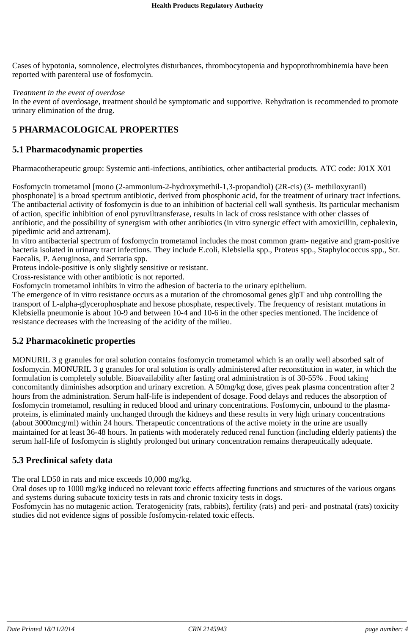Cases of hypotonia, somnolence, electrolytes disturbances, thrombocytopenia and hypoprothrombinemia have been reported with parenteral use of fosfomycin.

#### *Treatment in the event of overdose*

In the event of overdosage, treatment should be symptomatic and supportive. Rehydration is recommended to promote urinary elimination of the drug.

### **5 PHARMACOLOGICAL PROPERTIES**

#### **5.1 Pharmacodynamic properties**

Pharmacotherapeutic group: Systemic anti-infections, antibiotics, other antibacterial products. ATC code: J01X X01

Fosfomycin trometamol [mono (2-ammonium-2-hydroxymethil-1,3-propandiol) (2R-cis) (3- methiloxyranil) phosphonate] is a broad spectrum antibiotic, derived from phosphonic acid, for the treatment of urinary tract infections. The antibacterial activity of fosfomycin is due to an inhibition of bacterial cell wall synthesis. Its particular mechanism of action, specific inhibition of enol pyruviltransferase, results in lack of cross resistance with other classes of antibiotic, and the possibility of synergism with other antibiotics (in vitro synergic effect with amoxicillin, cephalexin, pipedimic acid and aztrenam).

In vitro antibacterial spectrum of fosfomycin trometamol includes the most common gram- negative and gram-positive bacteria isolated in urinary tract infections. They include E.coli, Klebsiella spp., Proteus spp., Staphylococcus spp., Str. Faecalis, P. Aeruginosa, and Serratia spp.

Proteus indole-positive is only slightly sensitive or resistant.

Cross-resistance with other antibiotic is not reported.

Fosfomycin trometamol inhibits in vitro the adhesion of bacteria to the urinary epithelium.

The emergence of in vitro resistance occurs as a mutation of the chromosomal genes glpT and uhp controlling the transport of L-alpha-glycerophosphate and hexose phosphate, respectively. The frequency of resistant mutations in Klebsiella pneumonie is about 10-9 and between 10-4 and 10-6 in the other species mentioned. The incidence of resistance decreases with the increasing of the acidity of the milieu.

#### **5.2 Pharmacokinetic properties**

MONURIL 3 g granules for oral solution contains fosfomycin trometamol which is an orally well absorbed salt of fosfomycin. MONURIL 3 g granules for oral solution is orally administered after reconstitution in water, in which the formulation is completely soluble. Bioavailability after fasting oral administration is of 30-55% . Food taking concomitantly diminishes adsorption and urinary excretion. A 50mg/kg dose, gives peak plasma concentration after 2 hours from the administration. Serum half-life is independent of dosage. Food delays and reduces the absorption of fosfomycin trometamol, resulting in reduced blood and urinary concentrations. Fosfomycin, unbound to the plasmaproteins, is eliminated mainly unchanged through the kidneys and these results in very high urinary concentrations (about 3000mcg/ml) within 24 hours. Therapeutic concentrations of the active moiety in the urine are usually maintained for at least 36-48 hours. In patients with moderately reduced renal function (including elderly patients) the serum half-life of fosfomycin is slightly prolonged but urinary concentration remains therapeutically adequate.

#### **5.3 Preclinical safety data**

The oral LD50 in rats and mice exceeds 10,000 mg/kg.

Oral doses up to 1000 mg/kg induced no relevant toxic effects affecting functions and structures of the various organs and systems during subacute toxicity tests in rats and chronic toxicity tests in dogs.

Fosfomycin has no mutagenic action. Teratogenicity (rats, rabbits), fertility (rats) and peri- and postnatal (rats) toxicity studies did not evidence signs of possible fosfomycin-related toxic effects.